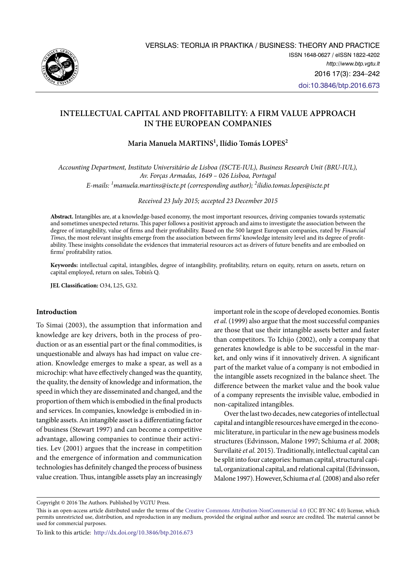

# **Intellectual Capital and Profitability: A Firm Value Approach in the European Companies**

# **Maria Manuela MARTINS1 , Ilídio Tomás LOPES2**

*Accounting Department, Instituto Universitário de Lisboa (ISCTE-IUL), Business Research Unit (BRU-IUL), Av. Forças Armadas, 1649 – 026 Lisboa, Portugal*

*E-mails: <sup>1</sup> [manuela.martins@iscte.pt](mailto:manuela.martins@iscte.pt) (corresponding author); 2 [ilidio.tomas.lopes@iscte.pt](mailto:ilidio.tomas.lopes@iscte.pt)*

*Received 23 July 2015; accepted 23 December 2015*

**Abstract.** Intangibles are, at a knowledge-based economy, the most important resources, driving companies towards systematic and sometimes unexpected returns. This paper follows a positivist approach and aims to investigate the association between the degree of intangibility, value of firms and their profitability. Based on the 500 largest European companies, rated by *Financial Times*, the most relevant insights emerge from the association between firms' knowledge intensity level and its degree of profitability. These insights consolidate the evidences that immaterial resources act as drivers of future benefits and are embodied on firms' profitability ratios.

**Keywords:** intellectual capital, intangibles, degree of intangibility, profitability, return on equity, return on assets, return on capital employed, return on sales, Tobin's Q.

**JEL Classification:** O34, L25, G32.

# **Introduction**

To Simai (2003), the assumption that information and knowledge are key drivers, both in the process of production or as an essential part or the final commodities, is unquestionable and always has had impact on value creation. Knowledge emerges to make a spear, as well as a microchip: what have effectively changed was the quantity, the quality, the density of knowledge and information, the speed in which they are disseminated and changed, and the proportion of them which is embodied in the final products and services. In companies, knowledge is embodied in intangible assets. An intangible asset is a differentiating factor of business (Stewart 1997) and can become a competitive advantage, allowing companies to continue their activities. Lev (2001) argues that the increase in competition and the emergence of information and communication technologies has definitely changed the process of business value creation. Thus, intangible assets play an increasingly

important role in the scope of developed economies. Bontis *et al.* (1999) also argue that the most successful companies are those that use their intangible assets better and faster than competitors. To Ichijo (2002), only a company that generates knowledge is able to be successful in the market, and only wins if it innovatively driven. A significant part of the market value of a company is not embodied in the intangible assets recognized in the balance sheet. The difference between the market value and the book value of a company represents the invisible value, embodied in non-capitalized intangibles.

Over the last two decades, new categories of intellectual capital and intangible resources have emerged in the economic literature, in particular in the new age business models structures (Edvinsson, Malone 1997; Schiuma *et al.* 2008; Survilaitė *et al.* 2015). Traditionally, intellectual capital can be split into four categories: human capital, structural capital, organizational capital, and relational capital (Edvinsson, Malone 1997). However, Schiuma *et al.* (2008) and also refer

Copyright © 2016 The Authors. Published by VGTU Press.

This is an open-access article distributed under the terms of the [Creative Commons Attribution-NonCommercial 4.0](http://creativecommons.org/licenses/by-nc/4.0/) (CC BY-NC 4.0) license, which permits unrestricted use, distribution, and reproduction in any medium, provided the original author and source are credited. The material cannot be used for commercial purposes.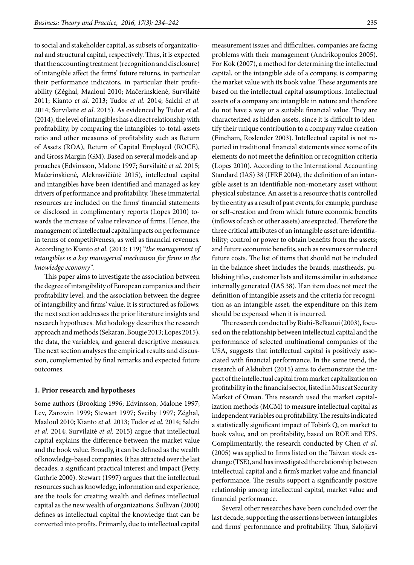to social and stakeholder capital, as subsets of organizational and structural capital, respectively. Thus, it is expected that the accounting treatment (recognition and disclosure) of intangible affect the firms' future returns, in particular their performance indicators, in particular their profitability (Zéghal, Maaloul 2010; Mačerinskienė, Survilaitė 2011; Kianto *et al*. 2013; Tudor *et al*. 2014; Salchi *et al*. 2014; Survilaitė *et al*. 2015). As evidenced by Tudor *et al.* (2014), the level of intangibles has a direct relationship with profitability, by comparing the intangibles-to-total-assets ratio and other measures of profitability such as Return of Assets (ROA), Return of Capital Employed (ROCE), and Gross Margin (GM). Based on several models and approaches (Edvinsson, Malone 1997; Survilaitė *et al.* 2015; Mačerinskienė, Aleknavičiūtė 2015), intellectual capital and intangibles have been identified and managed as key drivers of performance and profitability. These immaterial resources are included on the firms' financial statements or disclosed in complimentary reports (Lopes 2010) towards the increase of value relevance of firms. Hence, the management of intellectual capital impacts on performance in terms of competitiveness, as well as financial revenues. According to Kianto *et al.* (2013: 119) "*the management of intangibles is a key managerial mechanism for firms in the knowledge economy".* 

This paper aims to investigate the association between the degree of intangibility of European companies and their profitability level, and the association between the degree of intangibility and firms' value. It is structured as follows: the next section addresses the prior literature insights and research hypotheses. Methodology describes the research approach and methods (Sekaran, Bougie 2013; Lopes 2015), the data, the variables, and general descriptive measures. The next section analyses the empirical results and discussion, complemented by final remarks and expected future outcomes.

### **1. Prior research and hypotheses**

Some authors (Brooking 1996; Edvinsson, Malone 1997; Lev, Zarowin 1999; Stewart 1997; Sveiby 1997; Zéghal, Maaloul 2010; Kianto *et al.* 2013; Tudor *et al.* 2014; Salchi *et al.* 2014; Survilaitė *et al.* 2015) argue that intellectual capital explains the difference between the market value and the book value. Broadly, it can be defined as the wealth of knowledge-based companies. It has attracted over the last decades, a significant practical interest and impact (Petty, Guthrie 2000). Stewart (1997) argues that the intellectual resources such as knowledge, information and experience, are the tools for creating wealth and defines intellectual capital as the new wealth of organizations. Sullivan (2000) defines as intellectual capital the knowledge that can be converted into profits. Primarily, due to intellectual capital

measurement issues and difficulties, companies are facing problems with their management (Andrikopoulos 2005). For Kok (2007), a method for determining the intellectual capital, or the intangible side of a company, is comparing the market value with its book value. These arguments are based on the intellectual capital assumptions. Intellectual assets of a company are intangible in nature and therefore do not have a way or a suitable financial value. They are characterized as hidden assets, since it is difficult to identify their unique contribution to a company value creation (Fincham, Roslender 2003). Intellectual capital is not reported in traditional financial statements since some of its elements do not meet the definition or recognition criteria (Lopes 2010). According to the International Accounting Standard (IAS) 38 (IFRF 2004), the definition of an intangible asset is an identifiable non-monetary asset without physical substance. An asset is a resource that is controlled by the entity as a result of past events, for example, purchase or self-creation and from which future economic benefits (inflows of cash or other assets) are expected. Therefore the three critical attributes of an intangible asset are: identifiability; control or power to obtain benefits from the assets; and future economic benefits, such as revenues or reduced future costs. The list of items that should not be included in the balance sheet includes the brands, mastheads, publishing titles, customer lists and items similar in substance internally generated (IAS 38). If an item does not meet the definition of intangible assets and the criteria for recognition as an intangible asset, the expenditure on this item should be expensed when it is incurred.

The research conducted by Riahi-Belkaoui (2003), focused on the relationship between intellectual capital and the performance of selected multinational companies of the USA, suggests that intellectual capital is positively associated with financial performance. In the same trend, the research of Alshubiri (2015) aims to demonstrate the impact of the intellectual capital from market capitalization on profitability in the financial sector, listed in Muscat Security Market of Oman. This research used the market capitalization methods (MCM) to measure intellectual capital as independent variables on profitability. The results indicated a statistically significant impact of Tobin's Q, on market to book value, and on profitability, based on ROE and EPS. Complimentarily, the research conducted by Chen *et al.* (2005) was applied to firms listed on the Taiwan stock exchange (TSE), and has investigated the relationship between intellectual capital and a firm's market value and financial performance. The results support a significantly positive relationship among intellectual capital, market value and financial performance.

Several other researches have been concluded over the last decade, supporting the assertions between intangibles and firms' performance and profitability. Thus, Salojärvi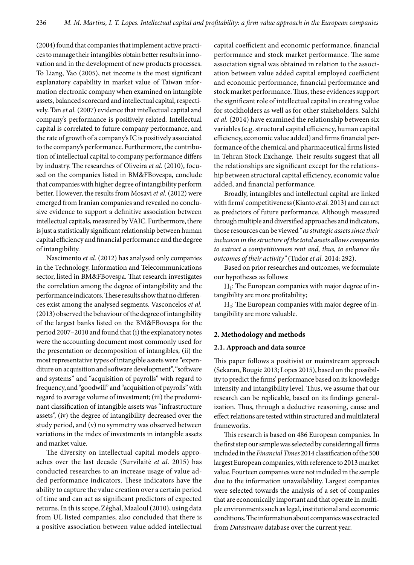(2004) found that companies that implement active practices to manage their intangibles obtain better results in innovation and in the development of new products processes. To Liang, Yao (2005), net income is the most significant explanatory capability in market value of Taiwan information electronic company when examined on intangible assets, balanced scorecard and intellectual capital, respectively. Tan *et al.* (2007) evidence that intellectual capital and company's performance is positively related. Intellectual capital is correlated to future company performance, and the rate of growth of a company's IC is positively associated to the company's performance. Furthermore, the contribution of intellectual capital to company performance differs by industry. The researches of Oliveira *et al.* (2010), focused on the companies listed in BM&FBovespa, conclude that companies with higher degree of intangibility perform better. However, the results from Mosavi *et al.* (2012) were emerged from Iranian companies and revealed no conclusive evidence to support a definitive association between intellectual capitals, measured by VAIC. Furthermore, there is just a statistically significant relationship between human capital efficiency and financial performance and the degree of intangibility.

Nascimento *et al.* (2012) has analysed only companies in the Technology, Information and Telecommunications sector, listed in BM&FBovespa. That research investigates the correlation among the degree of intangibility and the performance indicators. These results show that no differences exist among the analysed segments. Vasconcelos *et al.* (2013) observed the behaviour of the degree of intangibility of the largest banks listed on the BM&FBovespa for the period 2007–2010 and found that (i) the explanatory notes were the accounting document most commonly used for the presentation or decomposition of intangibles, (ii) the most representative types of intangible assets were "expenditure on acquisition and software development", "software and systems" and "acquisition of payrolls" with regard to frequency, and "goodwill" and "acquisition of payrolls" with regard to average volume of investment; (iii) the predominant classification of intangible assets was "infrastructure assets", (iv) the degree of intangibility decreased over the study period, and (v) no symmetry was observed between variations in the index of investments in intangible assets and market value.

The diversity on intellectual capital models approaches over the last decade (Survilaitė *et al.* 2015) has conducted researches to an increase usage of value added performance indicators. These indicators have the ability to capture the value creation over a certain period of time and can act as significant predictors of expected returns. In th is scope, Zéghal, Maaloul (2010), using data from UL listed companies, also concluded that there is a positive association between value added intellectual capital coefficient and economic performance, financial performance and stock market performance. The same association signal was obtained in relation to the association between value added capital employed coefficient and economic performance, financial performance and stock market performance. Thus, these evidences support the significant role of intellectual capital in creating value for stockholders as well as for other stakeholders. Salchi *et al.* (2014) have examined the relationship between six variables (e.g. structural capital efficiency, human capital efficiency, economic value added) and firms financial performance of the chemical and pharmaceutical firms listed in Tehran Stock Exchange. Their results suggest that all the relationships are significant except for the relationship between structural capital efficiency, economic value added, and financial performance.

Broadly, intangibles and intellectual capital are linked with firms' competitiveness (Kianto *et al.* 2013) and can act as predictors of future performance. Although measured through multiple and diversified approaches and indicators, those resources can be viewed "*as strategic assets since their inclusion in the structure of the total assets allows companies to extract a competitiveness rent and, thus, to enhance the outcomes of their activity"* (Tudor *et al.* 2014: 292).

Based on prior researches and outcomes, we formulate our hypotheses as follows:

 $H_1$ : The European companies with major degree of intangibility are more profitability;

 $H<sub>2</sub>$ : The European companies with major degree of intangibility are more valuable.

#### **2. Methodology and methods**

#### **2.1. Approach and data source**

This paper follows a positivist or mainstream approach (Sekaran, Bougie 2013; Lopes 2015), based on the possibility to predict the firms' performance based on its knowledge intensity and intangibility level. Thus, we assume that our research can be replicable, based on its findings generalization. Thus, through a deductive reasoning, cause and effect relations are tested within structured and multilateral frameworks.

This research is based on 486 European companies. In the first step our sample was selected by considering all firms included in the *Financial Times* 2014 classification of the 500 largest European companies, with reference to 2013 market value. Fourteen companies were not included in the sample due to the information unavailability. Largest companies were selected towards the analysis of a set of companies that are economically important and that operate in multiple environments such as legal, institutional and economic conditions. The information about companies was extracted from *Datastream* database over the current year.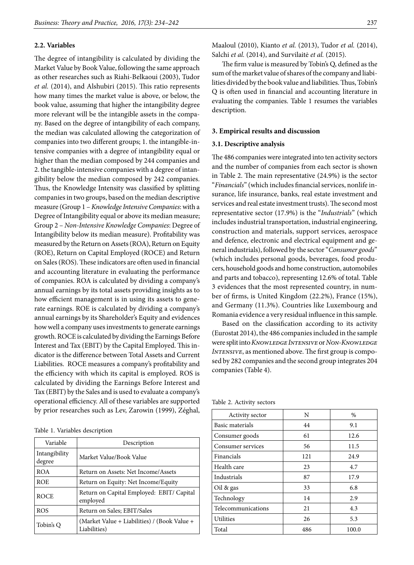### **2.2. Variables**

The degree of intangibility is calculated by dividing the Market Value by Book Value, following the same approach as other researches such as Riahi-Belkaoui (2003), Tudor *et al.* (2014), and Alshubiri (2015). This ratio represents how many times the market value is above, or below, the book value, assuming that higher the intangibility degree more relevant will be the intangible assets in the company. Based on the degree of intangibility of each company, the median was calculated allowing the categorization of companies into two different groups; 1. the intangible-intensive companies with a degree of intangibility equal or higher than the median composed by 244 companies and 2. the tangible-intensive companies with a degree of intangibility below the median composed by 242 companies. Thus, the Knowledge Intensity was classified by splitting companies in two groups, based on the median descriptive measure (Group 1 – *Knowledge Intensive Companies*: with a Degree of Intangibility equal or above its median measure; Group 2 – *Non-Intensive Knowledge Companies*: Degree of Intangibility below its median measure). Profitability was measured by the Return on Assets (ROA), Return on Equity (ROE), Return on Capital Employed (ROCE) and Return on Sales (ROS). These indicators are often used in financial and accounting literature in evaluating the performance of companies. ROA is calculated by dividing a company's annual earnings by its total assets providing insights as to how efficient management is in using its assets to generate earnings. ROE is calculated by dividing a company's annual earnings by its Shareholder's Equity and evidences how well a company uses investments to generate earnings growth. ROCE is calculated by dividing the Earnings Before Interest and Tax (EBIT) by the Capital Employed. This indicator is the difference between Total Assets and Current Liabilities. ROCE measures a company's profitability and the efficiency with which its capital is employed. ROS is calculated by dividing the Earnings Before Interest and Tax (EBIT) by the Sales and is used to evaluate a company's operational efficiency. All of these variables are supported by prior researches such as Lev, Zarowin (1999), Zéghal,

Table 1. Variables description

| Variable                | Description                                                  |
|-------------------------|--------------------------------------------------------------|
| Intangibility<br>degree | Market Value/Book Value                                      |
| <b>ROA</b>              | Return on Assets: Net Income/Assets                          |
| <b>ROE</b>              | Return on Equity: Net Income/Equity                          |
| <b>ROCE</b>             | Return on Capital Employed: EBIT/ Capital<br>employed        |
| <b>ROS</b>              | Return on Sales; EBIT/Sales                                  |
| Tobin's O               | (Market Value + Liabilities) / (Book Value +<br>Liabilities) |

Maaloul (2010), Kianto *et al.* (2013), Tudor *et al.* (2014), Salchi *et al.* (2014), and Survilaitė *et al.* (2015).

The firm value is measured by Tobin's Q, defined as the sum of the market value of shares of the company and liabilities divided by the book value and liabilities. Thus, Tobin's Q is often used in financial and accounting literature in evaluating the companies. Table 1 resumes the variables description.

#### **3. Empirical results and discussion**

### **3.1. Descriptive analysis**

The 486 companies were integrated into ten activity sectors and the number of companies from each sector is shown in Table 2. The main representative (24.9%) is the sector "*Financials*" (which includes financial services, nonlife insurance, life insurance, banks, real estate investment and services and real estate investment trusts). The second most representative sector (17.9%) is the "*Industrials*" (which includes industrial transportation, industrial engineering, construction and materials, support services, aerospace and defence, electronic and electrical equipment and general industrials), followed by the sector "*Consumer goods*" (which includes personal goods, beverages, food producers, household goods and home construction, automobiles and parts and tobacco), representing 12.6% of total. Table 3 evidences that the most represented country, in number of firms, is United Kingdom (22.2%), France (15%), and Germany (11.3%). Countries like Luxembourg and Romania evidence a very residual influence in this sample.

Based on the classification according to its activity (Eurostat 2014), the 486 companies included in the sample were split into *Knowledge Intensive* or *Non-Knowledge Intensive*, as mentioned above. The first group is composed by 282 companies and the second group integrates 204 companies (Table 4).

| Table 2. Activity sectors |  |  |  |  |  |  |
|---------------------------|--|--|--|--|--|--|
|---------------------------|--|--|--|--|--|--|

| Activity sector    | N   | $\%$  |
|--------------------|-----|-------|
| Basic materials    | 44  | 9.1   |
| Consumer goods     | 61  | 12.6  |
| Consumer services  | 56  | 11.5  |
| Financials         | 121 | 24.9  |
| Health care        | 23  | 4.7   |
| Industrials        | 87  | 17.9  |
| Oil & gas          | 33  | 6.8   |
| Technology         | 14  | 2.9   |
| Telecommunications | 21  | 4.3   |
| <b>Utilities</b>   | 26  | 5.3   |
| Total              | 486 | 100.0 |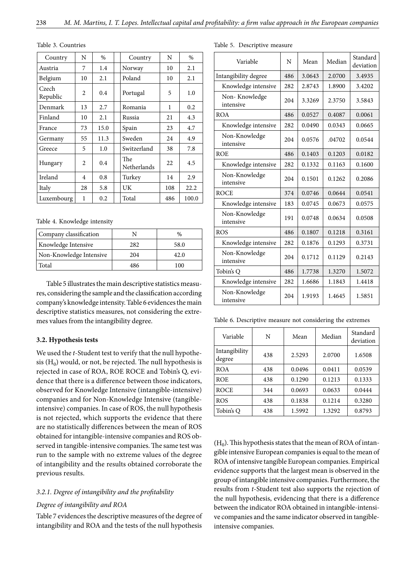| Country           | N              | $\%$ | Country            | N   | $\%$  |
|-------------------|----------------|------|--------------------|-----|-------|
| Austria           | 7              | 1.4  | Norway             | 10  | 2.1   |
| Belgium           | 10             | 2.1  | Poland             | 10  | 2.1   |
| Czech<br>Republic | $\overline{c}$ | 0.4  | Portugal           | 5   | 1.0   |
| Denmark           | 13             | 2.7  | Romania            | 1   | 0.2   |
| Finland           | 10             | 2.1  | Russia             | 21  | 4.3   |
| France            | 73             | 15.0 | Spain              | 23  | 4.7   |
| Germany           | 55             | 11.3 | Sweden             | 24  | 4.9   |
| Greece            | 5              | 1.0  | Switzerland        | 38  | 7.8   |
| Hungary           | 2              | 0.4  | The<br>Netherlands | 22  | 4.5   |
| Ireland           | 4              | 0.8  | Turkey             | 14  | 2.9   |
| Italy             | 28             | 5.8  | UK                 | 108 | 22.2  |
| Luxembourg        | 1              | 0.2  | Total              | 486 | 100.0 |

Table 3. Countries

Table 4. Knowledge intensity

| Company classification  |     | $\%$ |
|-------------------------|-----|------|
| Knowledge Intensive     | 282 | 58.0 |
| Non-Knowledge Intensive | 204 | 42.0 |
| Total                   | 486 | 100  |

Table 5 illustrates the main descriptive statistics measures, considering the sample and the classification according company's knowledge intensity. Table 6 evidences the main descriptive statistics measures, not considering the extremes values from the intangibility degree.

### **3.2. Hypothesis tests**

We used the *t*-Student test to verify that the null hypothesis  $(H_0)$  would, or not, be rejected. The null hypothesis is rejected in case of ROA, ROE ROCE and Tobin's Q, evidence that there is a difference between those indicators, observed for Knowledge Intensive (intangible-intensive) companies and for Non-Knowledge Intensive (tangibleintensive) companies. In case of ROS, the null hypothesis is not rejected, which supports the evidence that there are no statistically differences between the mean of ROS obtained for intangible-intensive companies and ROS observed in tangible-intensive companies. The same test was run to the sample with no extreme values of the degree of intangibility and the results obtained corroborate the previous results.

# *3.2.1. Degree of intangibility and the profitability*

# *Degree of intangibility and ROA*

Table 7 evidences the descriptive measures of the degree of intangibility and ROA and the tests of the null hypothesis

|  |  |  |  | Table 5. Descriptive measure |  |
|--|--|--|--|------------------------------|--|
|--|--|--|--|------------------------------|--|

| Variable                   | N   | Mean   | Median | Standard<br>deviation |
|----------------------------|-----|--------|--------|-----------------------|
| Intangibility degree       | 486 | 3.0643 | 2.0700 | 3.4935                |
| Knowledge intensive        | 282 | 2.8743 | 1.8900 | 3.4202                |
| Non-Knowledge<br>intensive | 204 | 3.3269 | 2.3750 | 3.5843                |
| <b>ROA</b>                 | 486 | 0.0527 | 0.4087 | 0.0061                |
| Knowledge intensive        | 282 | 0.0490 | 0.0343 | 0.0665                |
| Non-Knowledge<br>intensive | 204 | 0.0576 | .04702 | 0.0544                |
| <b>ROE</b>                 | 486 | 0.1403 | 0.1203 | 0.0182                |
| Knowledge intensive        | 282 | 0.1332 | 0.1163 | 0.1600                |
| Non-Knowledge<br>intensive | 204 | 0.1501 | 0.1262 | 0.2086                |
| <b>ROCE</b>                | 374 | 0.0746 | 0.0644 | 0.0541                |
| Knowledge intensive        | 183 | 0.0745 | 0.0673 | 0.0575                |
| Non-Knowledge<br>intensive | 191 | 0.0748 | 0.0634 | 0.0508                |
| <b>ROS</b>                 | 486 | 0.1807 | 0.1218 | 0.3161                |
| Knowledge intensive        | 282 | 0.1876 | 0.1293 | 0.3731                |
| Non-Knowledge<br>intensive | 204 | 0.1712 | 0.1129 | 0.2143                |
| Tobin's Q                  | 486 | 1.7738 | 1.3270 | 1.5072                |
| Knowledge intensive        | 282 | 1.6686 | 1.1843 | 1.4418                |
| Non-Knowledge<br>intensive | 204 | 1.9193 | 1.4645 | 1.5851                |

Table 6. Descriptive measure not considering the extremes

| Variable                | N   | Mean   | Median | Standard<br>deviation |
|-------------------------|-----|--------|--------|-----------------------|
| Intangibility<br>degree | 438 | 2.5293 | 2.0700 | 1.6508                |
| <b>ROA</b>              | 438 | 0.0496 | 0.0411 | 0.0539                |
| <b>ROE</b>              | 438 | 0.1290 | 0.1213 | 0.1333                |
| <b>ROCE</b>             | 344 | 0.0693 | 0.0633 | 0.0444                |
| <b>ROS</b>              | 438 | 0.1838 | 0.1214 | 0.3280                |
| Tobin's O               | 438 | 1.5992 | 1.3292 | 0.8793                |

 $(H<sub>0</sub>)$ . This hypothesis states that the mean of ROA of intangible intensive European companies is equal to the mean of ROA of intensive tangible European companies. Empirical evidence supports that the largest mean is observed in the group of intangible intensive companies. Furthermore, the results from *t*-Student test also supports the rejection of the null hypothesis, evidencing that there is a difference between the indicator ROA obtained in intangible-intensive companies and the same indicator observed in tangibleintensive companies.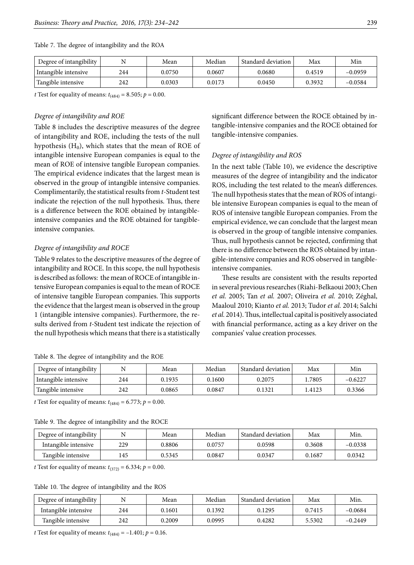| Degree of intangibility |     | Mean   | Median | Standard deviation | Max    | Min       |
|-------------------------|-----|--------|--------|--------------------|--------|-----------|
| Intangible intensive    | 244 | 0.0750 | 0.0607 | 0.0680             | 0.4519 | $-0.0959$ |
| Tangible intensive      | 242 | 0.0303 | 0.0173 | 0.0450             | 0.3932 | $-0.0584$ |

Table 7. The degree of intangibility and the ROA

*t* Test for equality of means:  $t_{(484)} = 8.505$ ;  $p = 0.00$ .

### *Degree of intangibility and ROE*

Table 8 includes the descriptive measures of the degree of intangibility and ROE, including the tests of the null hypothesis  $(H_0)$ , which states that the mean of ROE of intangible intensive European companies is equal to the mean of ROE of intensive tangible European companies. The empirical evidence indicates that the largest mean is observed in the group of intangible intensive companies. Complimentarily, the statistical results from *t*-Student test indicate the rejection of the null hypothesis. Thus, there is a difference between the ROE obtained by intangibleintensive companies and the ROE obtained for tangibleintensive companies.

# *Degree of intangibility and ROCE*

Table 9 relates to the descriptive measures of the degree of intangibility and ROCE. In this scope, the null hypothesis is described as follows: the mean of ROCE of intangible intensive European companies is equal to the mean of ROCE of intensive tangible European companies. This supports the evidence that the largest mean is observed in the group 1 (intangible intensive companies). Furthermore, the results derived from *t*-Student test indicate the rejection of the null hypothesis which means that there is a statistically

Table 8. The degree of intangibility and the ROE

significant difference between the ROCE obtained by intangible-intensive companies and the ROCE obtained for tangible-intensive companies.

# *Degree of intangibility and ROS*

In the next table (Table 10), we evidence the descriptive measures of the degree of intangibility and the indicator ROS, including the test related to the mean's differences. The null hypothesis states that the mean of ROS of intangible intensive European companies is equal to the mean of ROS of intensive tangible European companies. From the empirical evidence, we can conclude that the largest mean is observed in the group of tangible intensive companies. Thus, null hypothesis cannot be rejected, confirming that there is no difference between the ROS obtained by intangible-intensive companies and ROS observed in tangibleintensive companies.

These results are consistent with the results reported in several previous researches (Riahi-Belkaoui 2003; Chen *et al.* 2005; Tan *et al.* 2007; Oliveira *et al.* 2010; Zéghal, Maaloul 2010; Kianto *et al.* 2013; Tudor *et al.* 2014; Salchi *et al.* 2014). Thus, intellectual capital is positively associated with financial performance, acting as a key driver on the companies' value creation processes.

| Degree of intangibility |     | Mean   | Median       | : Standard deviation ' | Max   | Min       |
|-------------------------|-----|--------|--------------|------------------------|-------|-----------|
| Intangible intensive    | 244 | 0.1935 | 0.1600       | 0.2075                 | .7805 | $-0.6227$ |
| Tangible intensive      | 242 | 0.0865 | $\;\:0.0847$ | 0.1321                 | .4123 | 0.3366    |

*t* Test for equality of means:  $t_{(484)} = 6.773$ ;  $p = 0.00$ .

Table 9. The degree of intangibility and the ROCE

| Degree of intangibility |     | Mean   | Median | Standard deviation | Max    | Min.      |
|-------------------------|-----|--------|--------|--------------------|--------|-----------|
| Intangible intensive    | 229 | 0.8806 | 0.0757 | 0.0598             | 0.3608 | $-0.0338$ |
| Tangible intensive      | 145 | 0.5345 | 0.0847 | 0.0347             | 0.1687 | 0.0342    |

*t* Test for equality of means:  $t_{(372)} = 6.334; p = 0.00$ .

Table 10. The degree of intangibility and the ROS

| Degree of intangibility |     | Mean   | Median | Standard deviation | Max    | Min.      |
|-------------------------|-----|--------|--------|--------------------|--------|-----------|
| Intangible intensive    | 244 | 0.1601 | 0.1392 | 0.1295             | 0.7415 | $-0.0684$ |
| Tangible intensive      | 242 | 0.2009 | 0.0995 | 0.4282             | 5.5302 | $-0.2449$ |

*t* Test for equality of means:  $t_{(484)} = -1.401$ ;  $p = 0.16$ .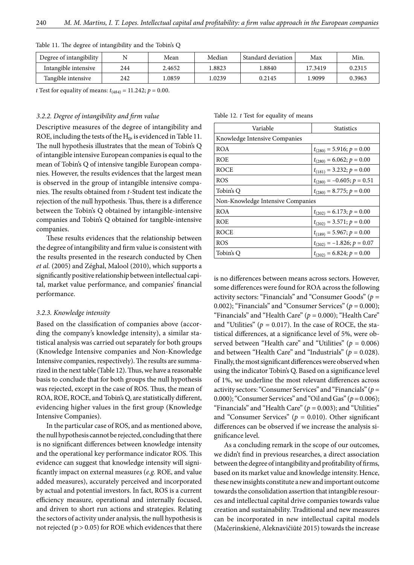| Degree of intangibility |     | Mean   | Median | Standard deviation | Max     | Min.   |
|-------------------------|-----|--------|--------|--------------------|---------|--------|
| Intangible intensive    | 244 | 2.4652 | 1.8823 | .8840              | 17.3419 | 0.2315 |
| Tangible intensive      | 242 | .0859  | .0239  | 0.2145             | .9099   | 0.3963 |

Table 11. The degree of intangibility and the Tobin's Q

*t* Test for equality of means:  $t_{(484)} = 11.242$ ;  $p = 0.00$ .

### *3.2.2. Degree of intangibility and firm value*

Descriptive measures of the degree of intangibility and ROE, including the tests of the  $H_0$ , is evidenced in Table 11. The null hypothesis illustrates that the mean of Tobin's Q of intangible intensive European companies is equal to the mean of Tobin's Q of intensive tangible European companies. However, the results evidences that the largest mean is observed in the group of intangible intensive companies. The results obtained from *t*-Student test indicate the rejection of the null hypothesis. Thus, there is a difference between the Tobin's Q obtained by intangible-intensive companies and Tobin's Q obtained for tangible-intensive companies.

These results evidences that the relationship between the degree of intangibility and firm value is consistent with the results presented in the research conducted by Chen *et al.* (2005) and Zéghal, Malool (2010), which supports a significantly positive relationship between intellectual capital, market value performance, and companies' financial performance.

### *3.2.3. Knowledge intensity*

Based on the classification of companies above (according the company's knowledge intensity), a similar statistical analysis was carried out separately for both groups (Knowledge Intensive companies and Non-Knowledge Intensive companies, respectively). The results are summarized in the next table (Table 12). Thus, we have a reasonable basis to conclude that for both groups the null hypothesis was rejected, except in the case of ROS. Thus, the mean of ROA, ROE, ROCE, and Tobin's Q, are statistically different, evidencing higher values in the first group (Knowledge Intensive Companies).

In the particular case of ROS, and as mentioned above, the null hypothesis cannot be rejected, concluding that there is no significant differences between knowledge intensity and the operational key performance indicator ROS. This evidence can suggest that knowledge intensity will significantly impact on external measures (*e.g.* ROE, and value added measures), accurately perceived and incorporated by actual and potential investors. In fact, ROS is a current efficiency measure, operational and internally focused, and driven to short run actions and strategies. Relating the sectors of activity under analysis, the null hypothesis is not rejected ( $p > 0.05$ ) for ROE which evidences that there

Table 12. *t* Test for equality of means

| Variable                          | <b>Statistics</b>              |  |  |  |
|-----------------------------------|--------------------------------|--|--|--|
| Knowledge Intensive Companies     |                                |  |  |  |
| <b>ROA</b>                        | $t_{(280)} = 5.916; p = 0.00$  |  |  |  |
| <b>ROE</b>                        | $t_{(280)} = 6.062; p = 0.00$  |  |  |  |
| <b>ROCE</b>                       | $t_{(181)} = 3.232; p = 0.00$  |  |  |  |
| <b>ROS</b>                        | $t_{(280)} = -0.605; p = 0.51$ |  |  |  |
| Tobin's O                         | $t_{(280)} = 8.775; p = 0.00$  |  |  |  |
| Non-Knowledge Intensive Companies |                                |  |  |  |
| <b>ROA</b>                        | $t_{(202)} = 6.173; p = 0.00$  |  |  |  |
| <b>ROE</b>                        | $t_{(202)} = 3.571; p = 0.00$  |  |  |  |
| <b>ROCE</b>                       | $t_{(189)} = 5.967; p = 0.00$  |  |  |  |
| <b>ROS</b>                        | $t_{(202)} = -1.826; p = 0.07$ |  |  |  |
| Tobin's Q                         | $t_{(202)} = 6.824; p = 0.00$  |  |  |  |

is no differences between means across sectors. However, some differences were found for ROA across the following activity sectors: "Financials" and "Consumer Goods" (*p =*  0.002); "Financials" and "Consumer Services" (*p =* 0.000); "Financials" and "Health Care" (*p =* 0.000); "Health Care" and "Utilities" ( $p = 0.017$ ). In the case of ROCE, the statistical differences, at a significance level of 5%, were observed between "Health care" and "Utilities" (*p =* 0.006) and between "Health Care" and "Industrials" (*p =* 0.028). Finally, the most significant differences were observed when using the indicator Tobin's Q. Based on a significance level of 1%, we underline the most relevant differences across activity sectors: "Consumer Services" and "Financials" (*p =*  0.000); "Consumer Services" and "Oil and Gas" (*p =* 0.006); "Financials" and "Health Care" (*p =* 0.003); and "Utilities" and "Consumer Services" (*p =* 0.010). Other significant differences can be observed if we increase the analysis significance level.

As a concluding remark in the scope of our outcomes, we didn't find in previous researches, a direct association between the degree of intangibility and profitability of firms, based on its market value and knowledge intensity. Hence, these new insights constitute a new and important outcome towards the consolidation assertion that intangible resources and intellectual capital drive companies towards value creation and sustainability. Traditional and new measures can be incorporated in new intellectual capital models (Mačerinskienė, Aleknavičiūtė 2015) towards the increase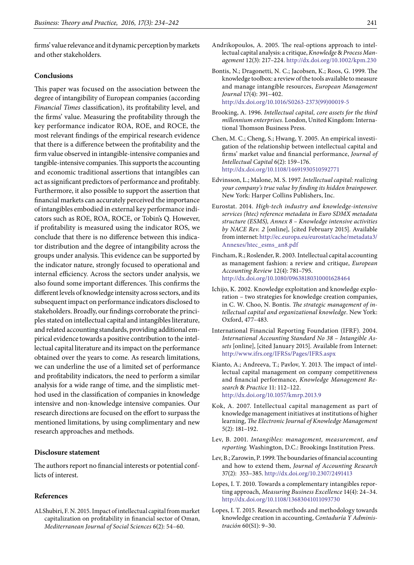firms' value relevance and it dynamic perception by markets and other stakeholders.

# **Conclusions**

This paper was focused on the association between the degree of intangibility of European companies (according *Financial Times* classification), its profitability level, and the firms' value. Measuring the profitability through the key performance indicator ROA, ROE, and ROCE, the most relevant findings of the empirical research evidence that there is a difference between the profitability and the firm value observed in intangible-intensive companies and tangible-intensive companies. This supports the accounting and economic traditional assertions that intangibles can act as significant predictors of performance and profitably. Furthermore, it also possible to support the assertion that financial markets can accurately perceived the importance of intangibles embodied in external key performance indicators such as ROE, ROA, ROCE, or Tobin's Q. However, if profitability is measured using the indicator ROS, we conclude that there is no difference between this indicator distribution and the degree of intangibility across the groups under analysis. This evidence can be supported by the indicator nature, strongly focused to operational and internal efficiency. Across the sectors under analysis, we also found some important differences. This confirms the different levels of knowledge intensity across sectors, and its subsequent impact on performance indicators disclosed to stakeholders. Broadly, our findings corroborate the principles stated on intellectual capital and intangibles literature, and related accounting standards, providing additional empirical evidence towards a positive contribution to the intellectual capital literature and its impact on the performance obtained over the years to come. As research limitations, we can underline the use of a limited set of performance and profitability indicators, the need to perform a similar analysis for a wide range of time, and the simplistic method used in the classification of companies in knowledge intensive and non-knowledge intensive companies. Our research directions are focused on the effort to surpass the mentioned limitations, by using complimentary and new research approaches and methods.

# **Disclosure statement**

The authors report no financial interests or potential conflicts of interest.

# **References**

ALShubiri, F. N. 2015. Impact of intellectual capital from market capitalization on profitability in financial sector of Oman, *Mediterranean Journal of Social Sciences* 6(2): 54–60.

- Andrikopoulos, A. 2005. The real-options approach to intellectual capital analysis: a critique, *Knowledge* & *Process Management* 12(3): 217–224.<http://dx.doi.org/10.1002/kpm.230>
- Bontis, N.; Dragonetti, N. C.; Jacobsen, K.; Roos, G. 1999. The knowledge toolbox: a review of the tools available to measure and manage intangible resources, *European Management Journal* 17(4): 391–402. [http://dx.doi.org/10.1016/S0263-2373\(99\)00019-5](http://dx.doi.org/10.1016/S0263-2373(99)00019-5)
- Brooking, A. 1996. *Intellectual capital, core assets for the third millennium enterprises.* London, United Kingdom: International Thomson Business Press.
- Chen, M. C.; Cheng, S.; Hwang, Y. 2005. An empirical investigation of the relationship between intellectual capital and firms' market value and financial performance, *Journal of Intellectual Capital* 6(2): 159–176. <http://dx.doi.org/10.1108/14691930510592771>
- Edvinsson, L.; Malone, M. S. 1997. *Intellectual capital: realizin*g *your company's true value by finding its hidden brainpower.*  New York: Harper Collins Publishers, Inc.
- Eurostat. 2014. *High-tech industry and knowledge-intensive services (htec) reference metadata in Euro SDMX metadata structure (ESMS), Annex 8 – Knowledge intensive activities by NACE Rev. 2* [online], [cited February 2015]. Available from internet: [http://ec.europa.eu/eurostat/cache/metadata3/](http://ec.europa.eu/eurostat/cache/metadata3/Annexes/htec_esms_an8.pdf) [Annexes/htec\\_esms\\_an8.pdf](http://ec.europa.eu/eurostat/cache/metadata3/Annexes/htec_esms_an8.pdf)
- Fincham, R.; Roslender, R. 2003. Intellectual capital accounting as management fashion: a review and critique, *European Accounting Review* 12(4): 781–795. <http://dx.doi.org/10.1080/09638180310001628464>
- Ichijo, K. 2002. Knowledge exploitation and knowledge exploration – two strategies for knowledge creation companies, in C. W. Choo, N. Bontis. *The strategic management of intellectual capital and organizational knowledge*. New York: Oxford, 477–483.
- International Financial Reporting Foundation (IFRF). 2004. *International Accounting Standard No 38 – Intangible Assets* [online], [cited January 2015]. Available from Internet: <http://www.ifrs.org/IFRSs/Pages/IFRS.aspx>
- Kianto, A.; Andreeva, T.; Pavlov, Y. 2013. The impact of intellectual capital management on company competitiveness and financial performance, *Knowledge Management Research* & *Practice* 11: 112–122. <http://dx.doi.org/10.1057/kmrp.2013.9>
- Kok, A. 2007. Intellectual capital management as part of knowledge management initiatives at institutions of higher learning, *The Electronic Journal of Knowledge Management* 5(2): 181–192.
- Lev, B. 2001. *Intangibles: management, measurement, and reporting.* Washington, D.C.: Brookings Institution Press.
- Lev, B.; Zarowin, P. 1999. The boundaries of financial accounting and how to extend them, *Journal of Accounting Research* 37(2): 353–385. <http://dx.doi.org/10.2307/2491413>
- Lopes, I. T. 2010. Towards a complementary intangibles reporting approach, *Measuring Business Excellence* 14(4): 24–34. <http://dx.doi.org/10.1108/13683041011093730>
- Lopes, I. T. 2015. Research methods and methodology towards knowledge creation in accounting, *Contaduría Y Administración* 60(S1): 9–30.